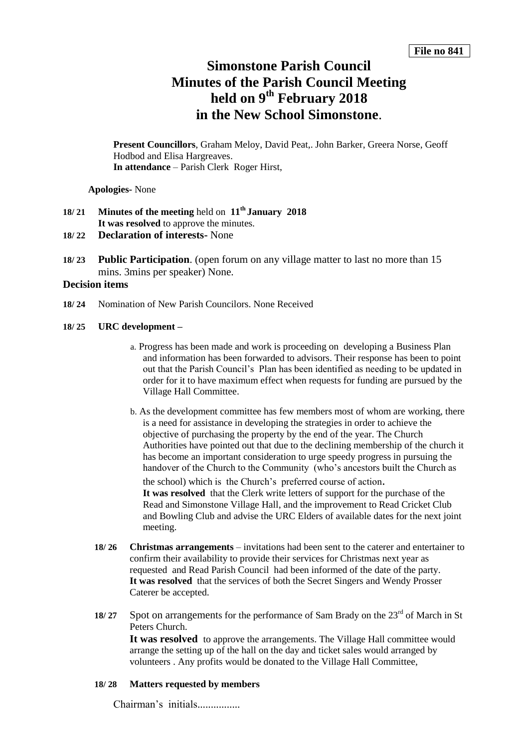# **Simonstone Parish Council Minutes of the Parish Council Meeting held on 9 th February 2018 in the New School Simonstone**.

**Present Councillors**, Graham Meloy, David Peat,. John Barker, Greera Norse, Geoff Hodbod and Elisa Hargreaves. **In attendance** – Parish Clerk Roger Hirst,

**Apologies-** None

# **18/ 21 Minutes of the meeting** held on **11th January 2018 It was resolved** to approve the minutes.

- **18/ 22 Declaration of interests-** None
- **18/ 23 Public Participation**. (open forum on any village matter to last no more than 15 mins. 3mins per speaker) None.

# **Decision items**

**18/ 24** Nomination of New Parish Councilors. None Received

#### **18/ 25 URC development –**

- a. Progress has been made and work is proceeding on developing a Business Plan and information has been forwarded to advisors. Their response has been to point out that the Parish Council's Plan has been identified as needing to be updated in order for it to have maximum effect when requests for funding are pursued by the Village Hall Committee.
- b. As the development committee has few members most of whom are working, there is a need for assistance in developing the strategies in order to achieve the objective of purchasing the property by the end of the year. The Church Authorities have pointed out that due to the declining membership of the church it has become an important consideration to urge speedy progress in pursuing the handover of the Church to the Community (who's ancestors built the Church as

the school) which is the Church's preferred course of action. **It was resolved** that the Clerk write letters of support for the purchase of the Read and Simonstone Village Hall, and the improvement to Read Cricket Club and Bowling Club and advise the URC Elders of available dates for the next joint meeting.

- **18/ 26 Christmas arrangements**  invitations had been sent to the caterer and entertainer to confirm their availability to provide their services for Christmas next year as requested and Read Parish Council had been informed of the date of the party. **It was resolved** that the services of both the Secret Singers and Wendy Prosser Caterer be accepted.
- **18/ 27** Spot on arrangements for the performance of Sam Brady on the 23<sup>rd</sup> of March in St Peters Church.

It was resolved to approve the arrangements. The Village Hall committee would arrange the setting up of the hall on the day and ticket sales would arranged by volunteers . Any profits would be donated to the Village Hall Committee,

## **18/ 28 Matters requested by members**

Chairman's initials................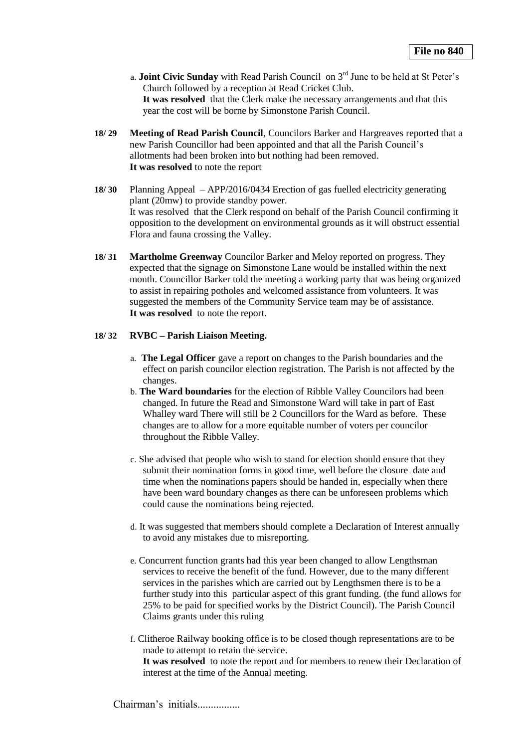- a. **Joint Civic Sunday** with Read Parish Council on 3rd June to be held at St Peter's Church followed by a reception at Read Cricket Club. **It was resolved** that the Clerk make the necessary arrangements and that this year the cost will be borne by Simonstone Parish Council.
- **18/ 29 Meeting of Read Parish Council**, Councilors Barker and Hargreaves reported that a new Parish Councillor had been appointed and that all the Parish Council's allotments had been broken into but nothing had been removed. **It was resolved** to note the report
- **18/ 30** Planning Appeal APP/2016/0434 Erection of gas fuelled electricity generating plant (20mw) to provide standby power. It was resolved that the Clerk respond on behalf of the Parish Council confirming it opposition to the development on environmental grounds as it will obstruct essential Flora and fauna crossing the Valley.
- **18/ 31 Martholme Greenway** Councilor Barker and Meloy reported on progress. They expected that the signage on Simonstone Lane would be installed within the next month. Councillor Barker told the meeting a working party that was being organized to assist in repairing potholes and welcomed assistance from volunteers. It was suggested the members of the Community Service team may be of assistance. **It was resolved** to note the report.

## **18/ 32 RVBC – Parish Liaison Meeting.**

- a. **The Legal Officer** gave a report on changes to the Parish boundaries and the effect on parish councilor election registration. The Parish is not affected by the changes.
- b. **The Ward boundaries** for the election of Ribble Valley Councilors had been changed. In future the Read and Simonstone Ward will take in part of East Whalley ward There will still be 2 Councillors for the Ward as before. These changes are to allow for a more equitable number of voters per councilor throughout the Ribble Valley.
- c. She advised that people who wish to stand for election should ensure that they submit their nomination forms in good time, well before the closure date and time when the nominations papers should be handed in, especially when there have been ward boundary changes as there can be unforeseen problems which could cause the nominations being rejected.
- d. It was suggested that members should complete a Declaration of Interest annually to avoid any mistakes due to misreporting.
- e. Concurrent function grants had this year been changed to allow Lengthsman services to receive the benefit of the fund. However, due to the many different services in the parishes which are carried out by Lengthsmen there is to be a further study into this particular aspect of this grant funding. (the fund allows for 25% to be paid for specified works by the District Council). The Parish Council Claims grants under this ruling
- f. Clitheroe Railway booking office is to be closed though representations are to be made to attempt to retain the service. **It was resolved** to note the report and for members to renew their Declaration of interest at the time of the Annual meeting.

Chairman's initials.................